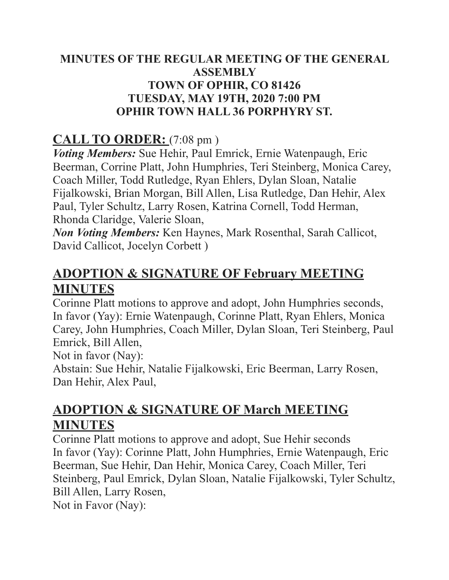#### MINUTES OF THE REGULAR MEETING OF THE GENERAL **ASSEMBLY TOWN OF OPHIR, CO 81426 TUESDAY, MAY 19TH, 2020 7:00 PM OPHIR TOWN HALL 36 PORPHYRY ST.**

## **CALL TO ORDER:**  $(7.08 \text{ pm})$

*Voting Members:* Sue Hehir, Paul Emrick, Ernie Watenpaugh, Eric Beerman, Corrine Platt, John Humphries, Teri Steinberg, Monica Carey, Coach Miller, Todd Rutledge, Ryan Ehlers, Dylan Sloan, Natalie Fijalkowski, Brian Morgan, Bill Allen, Lisa Rutledge, Dan Hehir, Alex Paul, Tyler Schultz, Larry Rosen, Katrina Cornell, Todd Herman, Rhonda Claridge, Valerie Sloan,

**Non Voting Members:** Ken Haynes, Mark Rosenthal, Sarah Callicot, David Callicot, Jocelyn Corbett)

# **ADOPTION & SIGNATURE OF February MEETING MINUTES**

Corinne Platt motions to approve and adopt, John Humphries seconds, In favor (Yay): Ernie Watenpaugh, Corinne Platt, Ryan Ehlers, Monica Carey, John Humphries, Coach Miller, Dylan Sloan, Teri Steinberg, Paul Emrick, Bill Allen,

Not in favor (Nav):

Abstain: Sue Hehir, Natalie Fijalkowski, Eric Beerman, Larry Rosen, Dan Hehir, Alex Paul,

## **ADOPTION & SIGNATURE OF March MEETING MINUTES**

Corinne Platt motions to approve and adopt. Sue Hehir seconds In favor (Yay): Corinne Platt, John Humphries, Ernie Watenpaugh, Eric Beerman, Sue Hehir, Dan Hehir, Monica Carey, Coach Miller, Teri Steinberg, Paul Emrick, Dylan Sloan, Natalie Fijalkowski, Tyler Schultz, Bill Allen, Larry Rosen,

Not in Favor (Nay):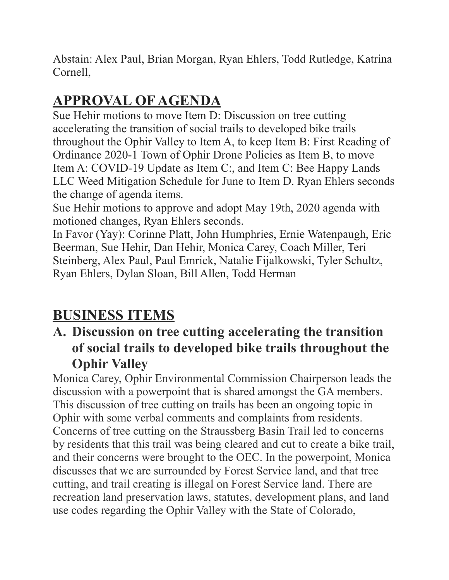Abstain: Alex Paul, Brian Morgan, Ryan Ehlers, Todd Rutledge, Katrina Cornell.

# **APPROVAL OF AGENDA**

Sue Hehir motions to move Item D: Discussion on tree cutting accelerating the transition of social trails to developed bike trails throughout the Ophir Valley to Item A, to keep Item B: First Reading of Ordinance 2020-1 Town of Ophir Drone Policies as Item B, to move Item A: COVID-19 Update as Item C:, and Item C: Bee Happy Lands LLC Weed Mitigation Schedule for June to Item D. Ryan Ehlers seconds the change of agenda items.

Sue Hehir motions to approve and adopt May 19th, 2020 agenda with motioned changes, Ryan Ehlers seconds.

In Favor (Yay): Corinne Platt, John Humphries, Ernie Watenpaugh, Eric Beerman, Sue Hehir, Dan Hehir, Monica Carey, Coach Miller, Teri Steinberg, Alex Paul, Paul Emrick, Natalie Fijalkowski, Tyler Schultz, Ryan Ehlers, Dylan Sloan, Bill Allen, Todd Herman

# **BUSINESS ITEMS**

# A. Discussion on tree cutting accelerating the transition of social trails to developed bike trails throughout the **Ophir Valley**

Monica Carey, Ophir Environmental Commission Chairperson leads the discussion with a powerpoint that is shared amongst the GA members. This discussion of tree cutting on trails has been an ongoing topic in Ophir with some verbal comments and complaints from residents. Concerns of tree cutting on the Straussberg Basin Trail led to concerns by residents that this trail was being cleared and cut to create a bike trail, and their concerns were brought to the OEC. In the powerpoint, Monica discusses that we are surrounded by Forest Service land, and that tree cutting, and trail creating is illegal on Forest Service land. There are recreation land preservation laws, statutes, development plans, and land use codes regarding the Ophir Valley with the State of Colorado,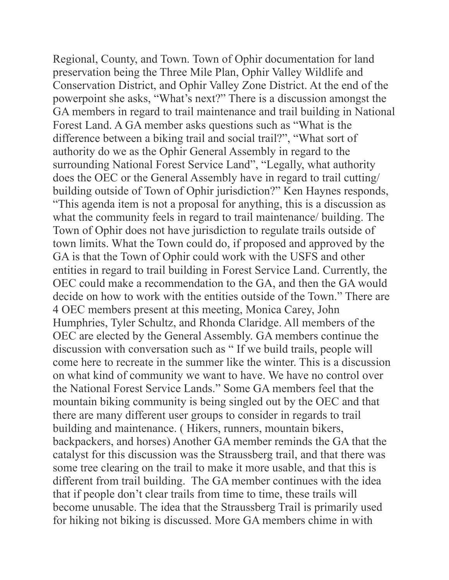Regional, County, and Town. Town of Ophir documentation for land preservation being the Three Mile Plan, Ophir Valley Wildlife and Conservation District, and Ophir Valley Zone District. At the end of the powerpoint she asks, "What's next?" There is a discussion amongst the GA members in regard to trail maintenance and trail building in National Forest Land. A GA member asks questions such as "What is the difference between a biking trail and social trail?", "What sort of authority do we as the Ophir General Assembly in regard to the surrounding National Forest Service Land", "Legally, what authority does the OEC or the General Assembly have in regard to trail cutting/ building outside of Town of Ophir jurisdiction?" Ken Haynes responds, "This agenda item is not a proposal for anything, this is a discussion as what the community feels in regard to trail maintenance/ building. The Town of Ophir does not have jurisdiction to regulate trails outside of town limits. What the Town could do, if proposed and approved by the GA is that the Town of Ophir could work with the USFS and other entities in regard to trail building in Forest Service Land. Currently, the OEC could make a recommendation to the GA, and then the GA would decide on how to work with the entities outside of the Town." There are 4 OEC members present at this meeting, Monica Carey, John Humphries, Tyler Schultz, and Rhonda Claridge. All members of the OEC are elected by the General Assembly. GA members continue the discussion with conversation such as "If we build trails, people will come here to recreate in the summer like the winter. This is a discussion on what kind of community we want to have. We have no control over the National Forest Service Lands." Some GA members feel that the mountain biking community is being singled out by the OEC and that there are many different user groups to consider in regards to trail building and maintenance. (Hikers, runners, mountain bikers, backpackers, and horses) Another GA member reminds the GA that the catalyst for this discussion was the Straussberg trail, and that there was some tree clearing on the trail to make it more usable, and that this is different from trail building. The GA member continues with the idea that if people don't clear trails from time to time, these trails will become unusable. The idea that the Straussberg Trail is primarily used for hiking not biking is discussed. More GA members chime in with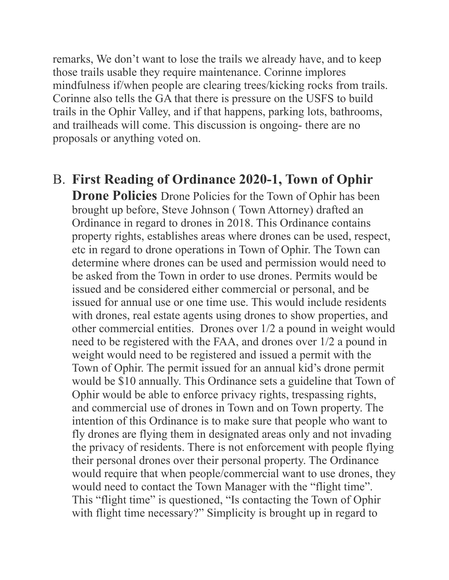remarks, We don't want to lose the trails we already have, and to keep those trails usable they require maintenance. Corinne implores mindfulness if/when people are clearing trees/kicking rocks from trails. Corinne also tells the GA that there is pressure on the USFS to build trails in the Ophir Valley, and if that happens, parking lots, bathrooms, and trailheads will come. This discussion is ongoing- there are no proposals or anything voted on.

**B. First Reading of Ordinance 2020-1, Town of Ophir Drone Policies** Drone Policies for the Town of Ophir has been brought up before, Steve Johnson (Town Attorney) drafted an Ordinance in regard to drones in 2018. This Ordinance contains property rights, establishes areas where drones can be used, respect, etc in regard to drone operations in Town of Ophir. The Town can determine where drones can be used and permission would need to be asked from the Town in order to use drones. Permits would be issued and be considered either commercial or personal, and be issued for annual use or one time use. This would include residents with drones, real estate agents using drones to show properties, and other commercial entities. Drones over 1/2 a pound in weight would need to be registered with the FAA, and drones over 1/2 a pound in weight would need to be registered and issued a permit with the Town of Ophir. The permit issued for an annual kid's drone permit would be \$10 annually. This Ordinance sets a guideline that Town of Ophir would be able to enforce privacy rights, trespassing rights, and commercial use of drones in Town and on Town property. The intention of this Ordinance is to make sure that people who want to fly drones are flying them in designated areas only and not invading the privacy of residents. There is not enforcement with people flying their personal drones over their personal property. The Ordinance would require that when people/commercial want to use drones, they would need to contact the Town Manager with the "flight time". This "flight time" is questioned, "Is contacting the Town of Ophir with flight time necessary?" Simplicity is brought up in regard to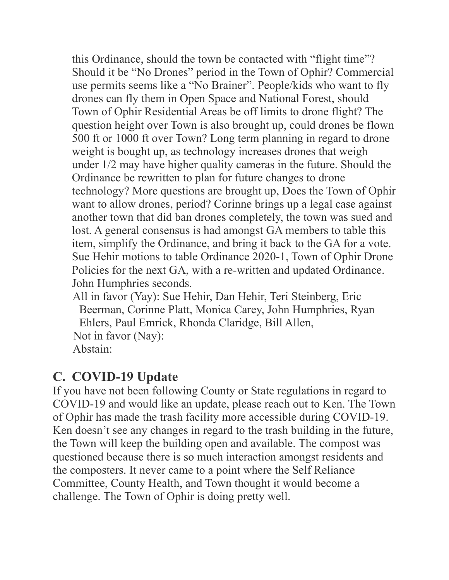this Ordinance, should the town be contacted with "flight time"? Should it be "No Drones" period in the Town of Ophir? Commercial use permits seems like a "No Brainer". People/kids who want to fly drones can fly them in Open Space and National Forest, should Town of Ophir Residential Areas be off limits to drone flight? The question height over Town is also brought up, could drones be flown 500 ft or 1000 ft over Town? Long term planning in regard to drone weight is bought up, as technology increases drones that weigh under 1/2 may have higher quality cameras in the future. Should the Ordinance be rewritten to plan for future changes to drone technology? More questions are brought up, Does the Town of Ophir want to allow drones, period? Corinne brings up a legal case against another town that did ban drones completely, the town was sued and lost. A general consensus is had amongst GA members to table this item, simplify the Ordinance, and bring it back to the GA for a vote. Sue Hehir motions to table Ordinance 2020-1, Town of Ophir Drone Policies for the next GA, with a re-written and updated Ordinance. John Humphries seconds.

All in favor (Yay): Sue Hehir, Dan Hehir, Teri Steinberg, Eric Beerman, Corinne Platt, Monica Carey, John Humphries, Ryan Ehlers, Paul Emrick, Rhonda Claridge, Bill Allen, Not in favor (Nay): Abstain<sup>-</sup>

#### C. COVID-19 Update

If you have not been following County or State regulations in regard to COVID-19 and would like an update, please reach out to Ken. The Town of Ophir has made the trash facility more accessible during COVID-19. Ken doesn't see any changes in regard to the trash building in the future, the Town will keep the building open and available. The compost was questioned because there is so much interaction amongst residents and the composters. It never came to a point where the Self Reliance Committee, County Health, and Town thought it would become a challenge. The Town of Ophir is doing pretty well.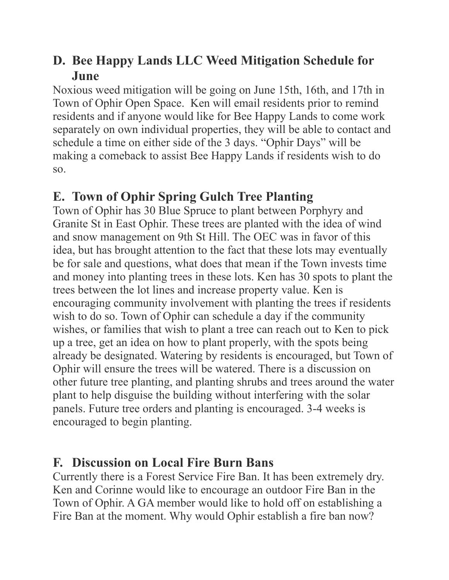## D. Bee Happy Lands LLC Weed Mitigation Schedule for June

Noxious weed mitigation will be going on June 15th, 16th, and 17th in Town of Ophir Open Space. Ken will email residents prior to remind residents and if anyone would like for Bee Happy Lands to come work separately on own individual properties, they will be able to contact and schedule a time on either side of the 3 days. "Ophir Days" will be making a comeback to assist Bee Happy Lands if residents wish to do  $SO<sub>2</sub>$ 

# E. Town of Ophir Spring Gulch Tree Planting

Town of Ophir has 30 Blue Spruce to plant between Porphyry and Granite St in East Ophir. These trees are planted with the idea of wind and snow management on 9th St Hill. The OEC was in favor of this idea, but has brought attention to the fact that these lots may eventually be for sale and questions, what does that mean if the Town invests time and money into planting trees in these lots. Ken has 30 spots to plant the trees between the lot lines and increase property value. Ken is encouraging community involvement with planting the trees if residents wish to do so. Town of Ophir can schedule a day if the community wishes, or families that wish to plant a tree can reach out to Ken to pick up a tree, get an idea on how to plant properly, with the spots being already be designated. Watering by residents is encouraged, but Town of Ophir will ensure the trees will be watered. There is a discussion on other future tree planting, and planting shrubs and trees around the water plant to help disguise the building without interfering with the solar panels. Future tree orders and planting is encouraged. 3-4 weeks is encouraged to begin planting.

## **F. Discussion on Local Fire Burn Bans**

Currently there is a Forest Service Fire Ban. It has been extremely dry. Ken and Corinne would like to encourage an outdoor Fire Ban in the Town of Ophir. A GA member would like to hold off on establishing a Fire Ban at the moment. Why would Ophir establish a fire ban now?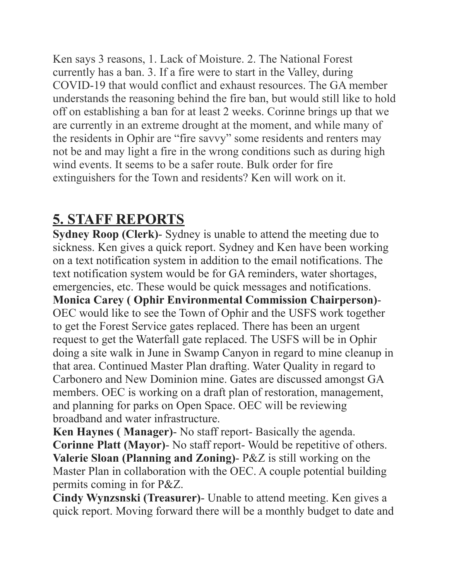Ken says 3 reasons, 1. Lack of Moisture. 2. The National Forest currently has a ban. 3. If a fire were to start in the Valley, during COVID-19 that would conflict and exhaust resources. The GA member understands the reasoning behind the fire ban, but would still like to hold off on establishing a ban for at least 2 weeks. Corinne brings up that we are currently in an extreme drought at the moment, and while many of the residents in Ophir are "fire savvy" some residents and renters may not be and may light a fire in the wrong conditions such as during high wind events. It seems to be a safer route. Bulk order for fire extinguishers for the Town and residents? Ken will work on it.

# **5. STAFF REPORTS**

**Sydney Roop (Clerk)**- Sydney is unable to attend the meeting due to sickness. Ken gives a quick report. Sydney and Ken have been working on a text notification system in addition to the email notifications. The text notification system would be for GA reminders, water shortages, emergencies, etc. These would be quick messages and notifications. **Monica Carey (Ophir Environmental Commission Chairperson)-**OEC would like to see the Town of Ophir and the USFS work together to get the Forest Service gates replaced. There has been an urgent request to get the Waterfall gate replaced. The USFS will be in Ophir doing a site walk in June in Swamp Canyon in regard to mine cleanup in that area. Continued Master Plan drafting. Water Quality in regard to Carbonero and New Dominion mine. Gates are discussed amongst GA members. OEC is working on a draft plan of restoration, management, and planning for parks on Open Space. OEC will be reviewing broadband and water infrastructure.

Ken Haynes (Manager) - No staff report - Basically the agenda. **Corinne Platt (Mayor)** No staff report- Would be repetitive of others. Valerie Sloan (Planning and Zoning) - P&Z is still working on the Master Plan in collaboration with the OEC. A couple potential building permits coming in for  $P&Z$ .

Cindy Wynzsnski (Treasurer) - Unable to attend meeting. Ken gives a quick report. Moving forward there will be a monthly budget to date and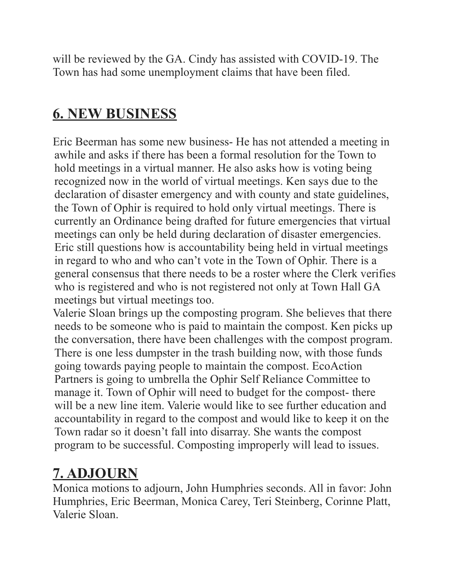will be reviewed by the GA. Cindy has assisted with COVID-19. The Town has had some unemployment claims that have been filed.

# **6. NEW BUSINESS**

Eric Beerman has some new business- He has not attended a meeting in awhile and asks if there has been a formal resolution for the Town to hold meetings in a virtual manner. He also asks how is voting being recognized now in the world of virtual meetings. Ken says due to the declaration of disaster emergency and with county and state guidelines, the Town of Ophir is required to hold only virtual meetings. There is currently an Ordinance being drafted for future emergencies that virtual meetings can only be held during declaration of disaster emergencies. Eric still questions how is accountability being held in virtual meetings in regard to who and who can't vote in the Town of Ophir. There is a general consensus that there needs to be a roster where the Clerk verifies who is registered and who is not registered not only at Town Hall GA meetings but virtual meetings too.

Valerie Sloan brings up the composting program. She believes that there needs to be someone who is paid to maintain the compost. Ken picks up the conversation, there have been challenges with the compost program. There is one less dumpster in the trash building now, with those funds going towards paying people to maintain the compost. EcoAction Partners is going to umbrella the Ophir Self Reliance Committee to manage it. Town of Ophir will need to budget for the compost-there will be a new line item. Valerie would like to see further education and accountability in regard to the compost and would like to keep it on the Town radar so it doesn't fall into disarray. She wants the compost program to be successful. Composting improperly will lead to issues.

# **7. ADJOURN**

Monica motions to adjourn, John Humphries seconds. All in favor: John Humphries, Eric Beerman, Monica Carey, Teri Steinberg, Corinne Platt, Valerie Sloan